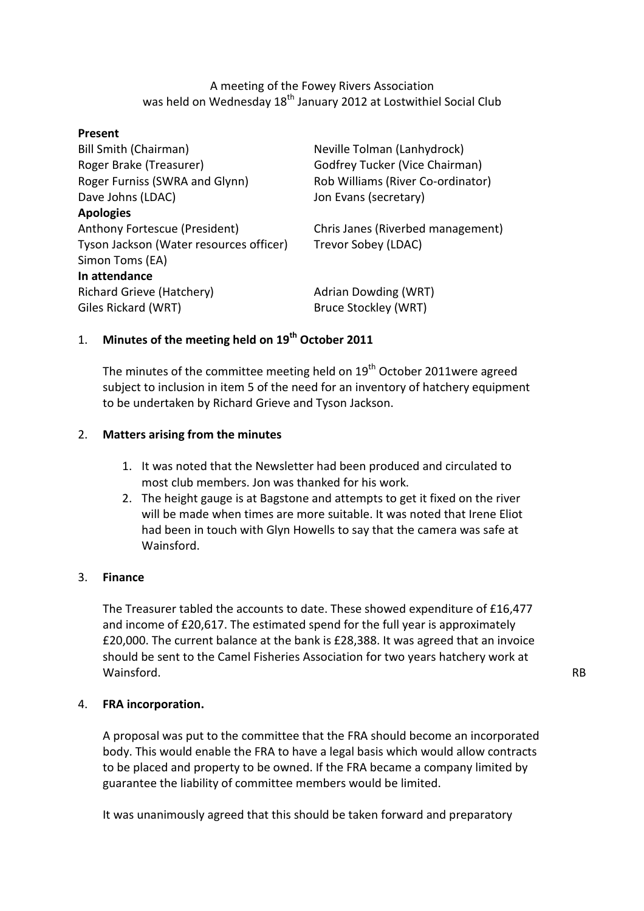A meeting of the Fowey Rivers Association was held on Wednesday 18<sup>th</sup> January 2012 at Lostwithiel Social Club

## Present

| <b>Bill Smith (Chairman)</b>            | Neville Tolman (Lanhydrock)           |
|-----------------------------------------|---------------------------------------|
| Roger Brake (Treasurer)                 | <b>Godfrey Tucker (Vice Chairman)</b> |
| Roger Furniss (SWRA and Glynn)          | Rob Williams (River Co-ordinator)     |
| Dave Johns (LDAC)                       | Jon Evans (secretary)                 |
| <b>Apologies</b>                        |                                       |
| Anthony Fortescue (President)           | Chris Janes (Riverbed management)     |
| Tyson Jackson (Water resources officer) | Trevor Sobey (LDAC)                   |
| Simon Toms (EA)                         |                                       |
| In attendance                           |                                       |
| Richard Grieve (Hatchery)               | Adrian Dowding (WRT)                  |
| Giles Rickard (WRT)                     | Bruce Stockley (WRT)                  |

# 1. Minutes of the meeting held on  $19<sup>th</sup>$  October 2011

The minutes of the committee meeting held on  $19<sup>th</sup>$  October 2011were agreed subject to inclusion in item 5 of the need for an inventory of hatchery equipment to be undertaken by Richard Grieve and Tyson Jackson.

## 2. Matters arising from the minutes

- 1. It was noted that the Newsletter had been produced and circulated to most club members. Jon was thanked for his work.
- 2. The height gauge is at Bagstone and attempts to get it fixed on the river will be made when times are more suitable. It was noted that Irene Eliot had been in touch with Glyn Howells to say that the camera was safe at Wainsford.

## 3. Finance

The Treasurer tabled the accounts to date. These showed expenditure of £16,477 and income of £20,617. The estimated spend for the full year is approximately £20,000. The current balance at the bank is £28,388. It was agreed that an invoice should be sent to the Camel Fisheries Association for two years hatchery work at Wainsford. The contract of the contract of the contract of the contract of the contract of the contract of the contract of the contract of the contract of the contract of the contract of the contract of the contract of the

## 4. FRA incorporation.

A proposal was put to the committee that the FRA should become an incorporated body. This would enable the FRA to have a legal basis which would allow contracts to be placed and property to be owned. If the FRA became a company limited by guarantee the liability of committee members would be limited.

It was unanimously agreed that this should be taken forward and preparatory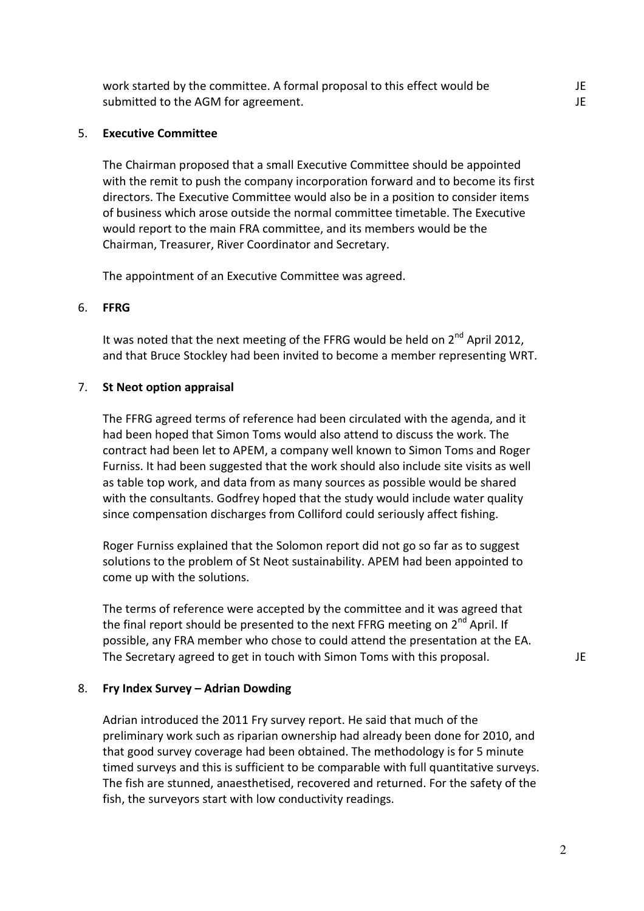work started by the committee. A formal proposal to this effect would be submitted to the AGM for agreement.

## 5. Executive Committee

The Chairman proposed that a small Executive Committee should be appointed with the remit to push the company incorporation forward and to become its first directors. The Executive Committee would also be in a position to consider items of business which arose outside the normal committee timetable. The Executive would report to the main FRA committee, and its members would be the Chairman, Treasurer, River Coordinator and Secretary.

The appointment of an Executive Committee was agreed.

#### 6. FFRG

It was noted that the next meeting of the FFRG would be held on  $2^{nd}$  April 2012, and that Bruce Stockley had been invited to become a member representing WRT.

### 7. St Neot option appraisal

The FFRG agreed terms of reference had been circulated with the agenda, and it had been hoped that Simon Toms would also attend to discuss the work. The contract had been let to APEM, a company well known to Simon Toms and Roger Furniss. It had been suggested that the work should also include site visits as well as table top work, and data from as many sources as possible would be shared with the consultants. Godfrey hoped that the study would include water quality since compensation discharges from Colliford could seriously affect fishing.

Roger Furniss explained that the Solomon report did not go so far as to suggest solutions to the problem of St Neot sustainability. APEM had been appointed to come up with the solutions.

The terms of reference were accepted by the committee and it was agreed that the final report should be presented to the next FFRG meeting on 2<sup>nd</sup> April. If possible, any FRA member who chose to could attend the presentation at the EA. The Secretary agreed to get in touch with Simon Toms with this proposal.  $JE$ 

#### 8. Fry Index Survey – Adrian Dowding

Adrian introduced the 2011 Fry survey report. He said that much of the preliminary work such as riparian ownership had already been done for 2010, and that good survey coverage had been obtained. The methodology is for 5 minute timed surveys and this is sufficient to be comparable with full quantitative surveys. The fish are stunned, anaesthetised, recovered and returned. For the safety of the fish, the surveyors start with low conductivity readings.

2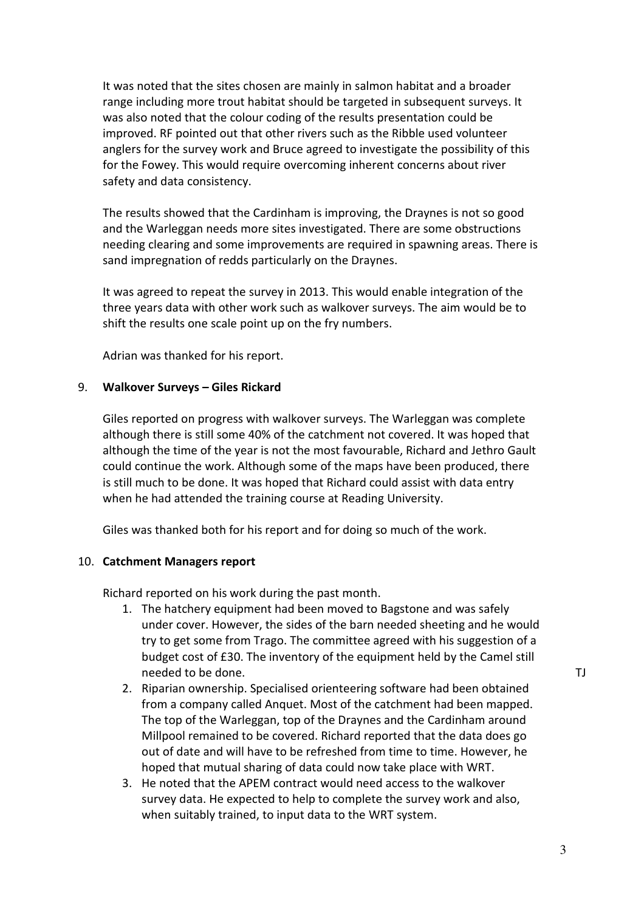It was noted that the sites chosen are mainly in salmon habitat and a broader range including more trout habitat should be targeted in subsequent surveys. It was also noted that the colour coding of the results presentation could be improved. RF pointed out that other rivers such as the Ribble used volunteer anglers for the survey work and Bruce agreed to investigate the possibility of this for the Fowey. This would require overcoming inherent concerns about river safety and data consistency.

The results showed that the Cardinham is improving, the Draynes is not so good and the Warleggan needs more sites investigated. There are some obstructions needing clearing and some improvements are required in spawning areas. There is sand impregnation of redds particularly on the Draynes.

It was agreed to repeat the survey in 2013. This would enable integration of the three years data with other work such as walkover surveys. The aim would be to shift the results one scale point up on the fry numbers.

Adrian was thanked for his report.

## 9. Walkover Surveys – Giles Rickard

Giles reported on progress with walkover surveys. The Warleggan was complete although there is still some 40% of the catchment not covered. It was hoped that although the time of the year is not the most favourable, Richard and Jethro Gault could continue the work. Although some of the maps have been produced, there is still much to be done. It was hoped that Richard could assist with data entry when he had attended the training course at Reading University.

Giles was thanked both for his report and for doing so much of the work.

## 10. Catchment Managers report

Richard reported on his work during the past month.

- 1. The hatchery equipment had been moved to Bagstone and was safely under cover. However, the sides of the barn needed sheeting and he would try to get some from Trago. The committee agreed with his suggestion of a budget cost of £30. The inventory of the equipment held by the Camel still needed to be done.
- 2. Riparian ownership. Specialised orienteering software had been obtained from a company called Anquet. Most of the catchment had been mapped. The top of the Warleggan, top of the Draynes and the Cardinham around Millpool remained to be covered. Richard reported that the data does go out of date and will have to be refreshed from time to time. However, he hoped that mutual sharing of data could now take place with WRT.
- 3. He noted that the APEM contract would need access to the walkover survey data. He expected to help to complete the survey work and also, when suitably trained, to input data to the WRT system.

TJ